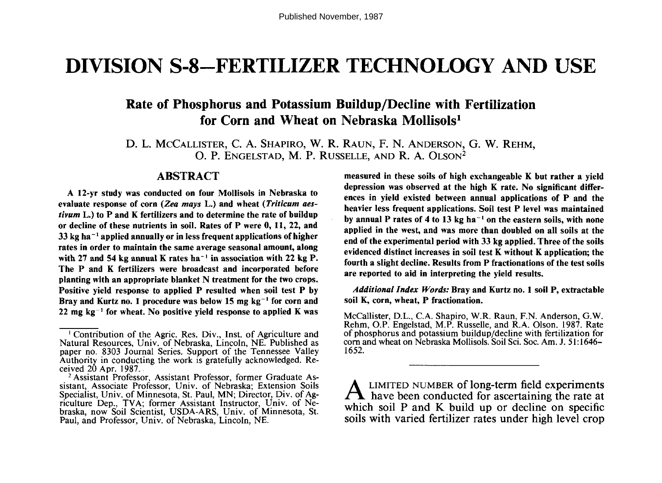# **DIVISION S-8-FERTILIZER TECHNOLOGY AND USE**

# **Rate of Phosphorus and Potassium Buildup/Decline with Fertilization for Corn and Wheat on Nebraska Mollisols<sup>1</sup>**

D. L. MCCALLISTER, C. A. SHAPiRO, W. R. RAUN, F. N. ANDERSON, G. W. REHM, O. P. ENGELSTAD, M. P. RUSSELLE, AND R. A. OLSON<sup>2</sup>

## **ABSTRACT**

**A 12-yr study was conducted on four Mollisols in Nebraska to evaluate response of corn** *(Zea mays* **L.) and wheat** *(Triticum aestivum* **L.) to P and K fertilizers and to determine the rate of buildup or decline of these nutrients in soil. Rates of P were 0, 11,** 22, **and 33 kg ha ' applied annually or in less frequent applications of higher rates in order to maintain the same average seasonal amount, along** with 27 and 54 kg annual K rates ha<sup>-1</sup> in association with 22 kg P. **The P and K fertilizers were broadcast and incorporated before planting with an appropriate blanket N treatment for the two crops. Positive yield response to applied P resulted when soil test P by** Bray and Kurtz no. 1 procedure was below 15 mg kg<sup>-1</sup> for corn and  $22$  mg  $kg^{-1}$  for wheat. No positive yield response to applied K was **measured in these soils of high exchangeable K but rather a yield depression was observed at the high K rate. No significant differences in yield existed between annual applications of P and the heavier less frequent applications. Soil test P level was maintained** by annual P rates of 4 to 13 kg ha<sup>-1</sup> on the eastern soils, with none **applied in the west, and was more than doubled on all soils at the end of the experimental period with 33 kg applied. Three of the soils evidenced distinct increases in soil test K without K application; the fourth a slight decline. Results from P fractionations of the test soils are reported to aid in interpreting the yield results.**

*Additional Index Words:* **Bray and Kurtz no. 1 soil P, extractable soil K, corn, wheat, P fractionation.**

McCallister, D.L., C.A. Shapiro, W.R. Raun, F.N. Anderson, G.W. Rehm, O.P. Engelstad, M.P. Russelle, and R.A. Olson. 1987. Rate of phosphorus and potassium buildup/decline with fertilization for corn and wheat on Nebraska Mollisols. Soil Sci. Soc. Am. J. 51:1646- 1652.

A LIMITED NUMBER of long-term field experiments<br>have been conducted for ascertaining the rate at LIMITED NUMBER of long-term field experiments which soil P and K build up or decline on specific soils with varied fertilizer rates under high level crop

<sup>1</sup> Contribution of the Agric. Res. Div., Inst. of Agriculture and Natural Resources, Univ. of Nebraska, Lincoln, NE. Published as paper no. 8303 Journal Series. Support of the Tennessee Valley Authority in conducting the work is gratefully acknowledged. Received  $20$  Apr. 1987.

<sup>2</sup> Assistant Professor, Assistant Professor, former Graduate Assistant, Associate Professor, Univ. of Nebraska; Extension Soils Specialist, Univ. of Minnesota, St. Paul, MN; Director, Div. of Agriculture Dep., TVA; former Assistant Instructor, Univ. of Nebraska, now Soil Scientist, USDA-ARS, Univ. of Minnesota, St. Paul, and Professor, Univ. of Nebraska, Lincoln, NE.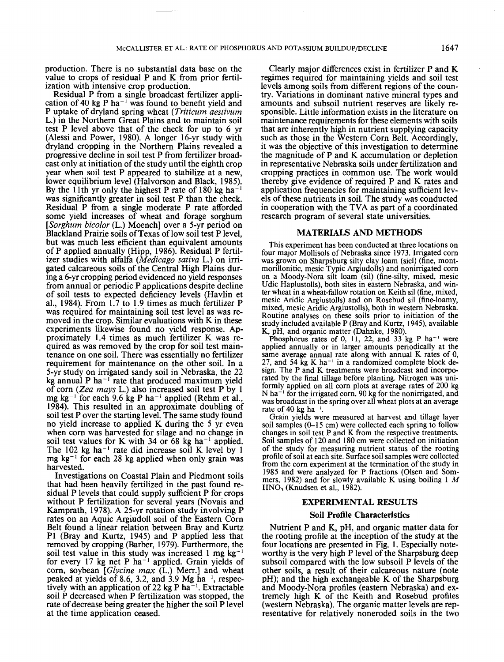production. There is no substantial data base on the value to crops of residual P and K from prior fertilization with intensive crop production.

Residual P from a single broadcast fertilizer application of 40 kg P ha<sup> $-1$ </sup> was found to benefit yield and P uptake of dryland spring wheat *(Triticum aestivum* L.) in the Northern Great Plains and to maintain soil test P level above that of the check for up to 6 yr (Alessi and Power, 1980). A longer 16-yr study with dryland cropping in the Northern Plains revealed a progressive decline in soil test P from fertilizer broadcast only at initiation of the study until the eighth crop year when soil test P appeared to stabilize at a new, lower equilibrium level (Halvorson and Black, 1985). By the 11th yr only the highest P rate of 180 kg ha<sup>-1</sup> was significantly greater in soil test P than the check. Residual P from a single moderate P rate afforded some yield increases of wheat and forage sorghum *[Sorghum bicolor* (L.) Moench] over a 5-yr period on Blackland Prairie soils of Texas of low soil test P level, but was much less efficient than equivalent amounts of P applied annually (Hipp, 1986). Residual P fertilizer studies with alfalfa *(Medicago saliva* L.) on irrigated calcareous soils of the Central High Plains during a 6-yr cropping period evidenced no yield responses from annual or periodic P applications despite decline of soil tests to expected deficiency levels (Havlin et al., 1984). From 1.7 to 1.9 times as much fertilizer P was required for maintaining soil test level as was removed in the crop. Similar evaluations with K in these experiments likewise found no yield response. Approximately 1.4 times as much fertilizer K was required as was removed by the crop for soil test maintenance on one soil. There was essentially no fertilizer requirement for maintenance on the other soil. In a 5-yr study on irrigated sandy soil in Nebraska, the 22 kg annual P ha"<sup>1</sup> rate that produced maximum yield of corn *(Zea mays* L.) also increased soil test P by 1 mg kg<sup>-1</sup> for each 9.6 kg P ha<sup>-1</sup> applied (Rehm et al., 1984). This resulted in an approximate doubling of soil test P over the starting level. The same study found no yield increase to applied K during the 5 yr even when corn was harvested for silage and no change in soil test values for K with  $34$  or  $68 \text{ kg} \text{ ha}^{-1}$  applied. The 102 kg ha<sup>-1</sup> rate did increase soil K level by 1 mg kg<sup>-1</sup> for each 28 kg applied when only grain was harvested.

Investigations on Coastal Plain and Piedmont soils that had been heavily fertilized in the past found residual P levels that could supply sufficient P for crops without P fertilization for several years (Novais and Kamprath, 1978). A 25-yr rotation study involving P rates on an Aquic Argiudoll soil of the Eastern Corn Belt found a linear relation between Bray and Kurtz PI (Bray and Kurtz, 1945) and P applied less that removed by cropping (Barber, 1979). Furthermore, the soil test value in this study was increased  $1 \text{ mg kg}^{-1}$ for every  $17 \text{ kg}$  net P ha<sup>-1</sup> applied. Grain yields of corn, soybean *[Glycine max* (L.) Merr.] and wheat peaked at yields of 8.6, 3.2, and 3.9  $Mg$  ha<sup>-1</sup>, respectively with an application of 22 kg P  $ha^{-1}$ . Extractable soil P decreased when P fertilization was stopped, the rate of decrease being greater the higher the soil P level at the time application ceased.

Clearly major differences exist in fertilizer P and K regimes required for maintaining yields and soil test levels among soils from different regions of the country. Variations in dominant native mineral types and amounts and subsoil nutrient reserves are likely responsible. Little information exists in the literature on maintenance requirements for these elements with soils that are inherently high in nutrient supplying capacity such as those in the Western Corn Belt. Accordingly, it was the objective of this investigation to determine the magnitude of P and K accumulation or depletion in representative Nebraska soils under fertilization and cropping practices in common use. The work would thereby give evidence of required P and K rates and application frequencies for maintaining sufficient levels of these nutrients in soil. The study was conducted in cooperation with the TVA as part of a coordinated research program of several state universities.

#### MATERIALS AND METHODS

This experiment has been conducted at three locations on four major Mollisols of Nebraska since 1973. Irrigated corn was grown on Sharpsburg silty clay loam (sicl) (fine, montmorillonitic, mesic Typic Argiudolls) and nonirrigated corn on a Moody-Nora silt loam (sil) (fine-silty, mixed, mesic Udic Haplustolls), both sites in eastern Nebraska, and winter wheat in a wheat-fallow rotation on Keith sil (fine, mixed, mesic Aridic Argiustolls) and on Rosebud sil (fine-loamy, mixed, mesic Aridic Argiustolls), both in western Nebraska. Routine analyses on these soils prior to initiation of the study included available P (Bray and Kurtz, 1945), available K, pH, and organic matter (Dahnke, 1980).

Phosphorus rates of 0, 11, 22, and 33 kg P ha<sup>-1</sup> were applied annually or in larger amounts periodically at the same average annual rate along with annual K rates of 0, 27, and 54 kg K ha<sup>-1</sup> in a randomized complete block design. The P and K treatments were broadcast and incorporated by the final tillage before planting. Nitrogen was uniformly applied on all corn plots at average rates of 200 kg N ha<sup> $-1$ </sup> for the irrigated corn, 90 kg for the nonirrigated, and was broadcast in the spring over all wheat plots at an average rate of 40 kg ha<sup>-1</sup>.

Grain yields were measured at harvest and tillage layer soil samples (0-15 cm) were collected each spring to follow changes in soil test P and K from the respective treatments. Soil samples of 120 and 180 cm were collected on initiation of the study for measuring nutrient status of the rooting profile of soil at each site. Surface soil samples were collected from the corn experiment at the termination of the study in 1985 and were analyzed for P fractions (Olsen and Sommers, 1982) and for slowly available K using boiling 1 *M*  $HNO<sub>3</sub>$  (Knudsen et al., 1982).

### EXPERIMENTAL RESULTS

#### Soil Profile Characteristics

Nutrient P and K, pH, and organic matter data for the rooting profile at the inception of the study at the four locations are presented in Fig. 1. Especially noteworthy is the very high P level of the Sharpsburg deep subsoil compared with the low subsoil P levels of the other soils, a result of their calcareous nature (note pH); and the high exchangeable K of the Sharpsburg and Moody-Nora profiles (eastern Nebraska) and extremely high K of the Keith and Rosebud profiles (western Nebraska). The organic matter levels are representative for relatively noneroded soils in the two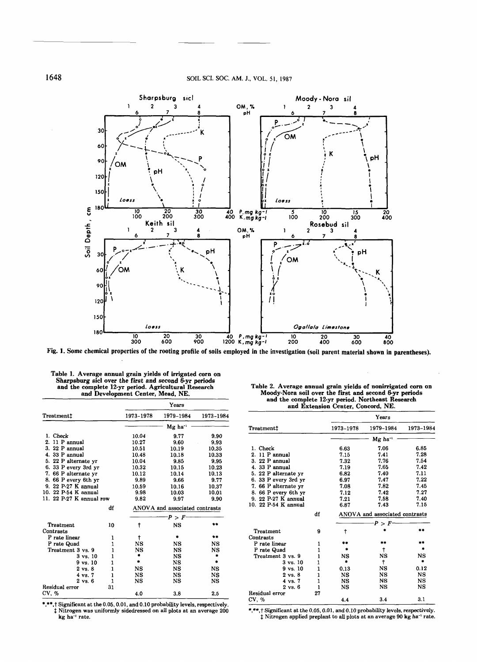

**Fig. 1. Some chemical properties of the rooting profile of soils employed in the investigation (soil parent material shown in parentheses).**

|                          |    | Years      |                                |           |  |  |  |  |
|--------------------------|----|------------|--------------------------------|-----------|--|--|--|--|
| Treatment‡               |    | 1973-1978  | 1979-1984                      | 1973-1984 |  |  |  |  |
|                          |    |            | $Mg$ ha <sup>-1</sup>          |           |  |  |  |  |
| 1. Check                 |    | 10.04      | 9.77                           | 9.90      |  |  |  |  |
| 2. 11 P annual           |    | 10.27      | 9.60                           | 9.93      |  |  |  |  |
| 3. 22 P annual           |    | 10.51      | 10.19                          | 10.35     |  |  |  |  |
| 4. 33 P annual           |    | 10.48      | 10.18                          | 10.33     |  |  |  |  |
| 5. 22 P alternate vr     |    | 10.04      | 9.85                           | 9.95      |  |  |  |  |
| 6. 33 P every 3rd yr     |    | 10.32      | 10.15                          | 10.23     |  |  |  |  |
| 7. 66 P alternate yr     |    | 10.12      | 10.14                          | 10.13     |  |  |  |  |
| 8. 66 P every 6th yr     |    | 9.89       | 9.66                           | 9.77      |  |  |  |  |
| 9. 22 P-27 K annual      |    | 10.59      | 10.16                          | 10.37     |  |  |  |  |
| 10. 22 P-54 K annual     |    | 9.98       | 10.03                          | 10.01     |  |  |  |  |
| 11. 22 P-27 K annual row |    | 9.82       | 9.97                           | 9.90      |  |  |  |  |
|                          | df |            | ANOVA and associated contrasts |           |  |  |  |  |
|                          |    |            | P > F                          |           |  |  |  |  |
| Treatment                | 10 | $\ddagger$ | NS                             | ۰.        |  |  |  |  |
| Contrasts                |    |            |                                |           |  |  |  |  |
| P rate linear            | 1  | t          | ۰                              | **        |  |  |  |  |
| P rate Quad              | 1  | NS         | NS                             | NS        |  |  |  |  |
| Treatment 3 vs. 9        | 1  | NS         | NS                             | NS        |  |  |  |  |
| $3 \text{ vs. } 10$      | 1  | ۰          | NS                             | ۰         |  |  |  |  |
| 9 vs. 10                 | 1  | ۰          | NS                             | ۰         |  |  |  |  |
| $2 \text{ vs. } 8$       | 1  | NS         | NS                             | <b>NS</b> |  |  |  |  |
| 4 vs. 7                  | 1  | <b>NS</b>  | <b>NS</b>                      | NS        |  |  |  |  |
| $2 \text{ vs. } 6$       | 1  | NS         | NS                             | NS        |  |  |  |  |
| Residual error           | 31 |            |                                |           |  |  |  |  |
| CV. %                    |    | 4.0        | 3.8                            | 2.5       |  |  |  |  |

**Table 1. Average annual grain yields of irrigated corn on Sharpsburg sicl over the first and second 6-yr periods and the complete 12-yr period. Agricultural Research**

| Table 2. Average annual grain yields of nonirrigated corn on |  |
|--------------------------------------------------------------|--|
| Moody-Nora soil over the first and second 6-yr periods       |  |
| and the complete 12-yr period. Northeast Research            |  |
| and Extension Center, Concord, NE.                           |  |

|                      |    |           | Years                          |           |
|----------------------|----|-----------|--------------------------------|-----------|
| Treatment‡           |    | 1973-1978 | 1979-1984                      | 1973-1984 |
|                      |    |           | $Mg$ ha <sup>-1</sup>          |           |
| 1. Check             |    | 6.63      | 7.06                           | 6.85      |
| 2. 11 P annual       |    | 7.15      | 7.41                           | 7.28      |
| $3.22P$ annual       |    | 7.32      | 7.76                           | 7.54      |
| 4. 33 P annual       |    | 7.19      | 7.65                           | 7.42      |
| 5. 22 P alternate yr |    | 6.82      | 7.40                           | 7.11      |
| 6. 33 P every 3rd yr |    | 6.97      | 7.47                           | 7.22      |
| 7. 66 P alternate yr |    | 7.08      | 7.82                           | 7.45      |
| 8. 66 P every 6th yr |    | 7.12      | 7.42                           | 7.27      |
| 9. 22 P-27 K annual  |    | 7.21      | 7.58                           | 7.40      |
| 10. 22 P-54 K annual |    | 6.87      | 7.43                           | 7.15      |
|                      | df |           | ANOVA and associated contrasts |           |
|                      |    |           | $-F > F$                       |           |
| Treatment            | 9  | t         |                                | **        |
| Contrasts            |    |           |                                |           |
| P rate linear        | 1  |           | **                             | **        |
| P rate Quad          | 1  |           | t                              |           |
| Treatment 3 vs. 9    | 1  | <b>NS</b> | NS                             | NS        |
| $3 \text{ vs. } 10$  | 1  |           | t                              |           |
| $9 \text{ vs. } 10$  | 1  | 0.13      | NS                             | 0.12      |
| $2 \text{ vs. } 8$   | 1  | <b>NS</b> | NS                             | NS        |
| 4 vs. 7              | 1  | <b>NS</b> | NS                             | NS        |
| 2 vs. 6              | 1  | NS        | NS                             | NS        |
| Residual error       | 27 |           |                                |           |
| CV, %                |    | 4.4       | 3.4                            | 3.1       |

\*,\*\*,t Significant at the 0.05, 0.01, and 0.10 probability levels, respectively.<br>
t Nitrogen was uniformly sidedressed on all plots at an average 200<br>
kg ha<sup>-1</sup> rate.

\*,\*\*,† Significant at the 0.05, 0.01, and 0.10 probability levels, respectively.  $\ddagger$  Nitrogen applied preplant to all plots at an average 90 kg ha<sup>-1</sup> rate.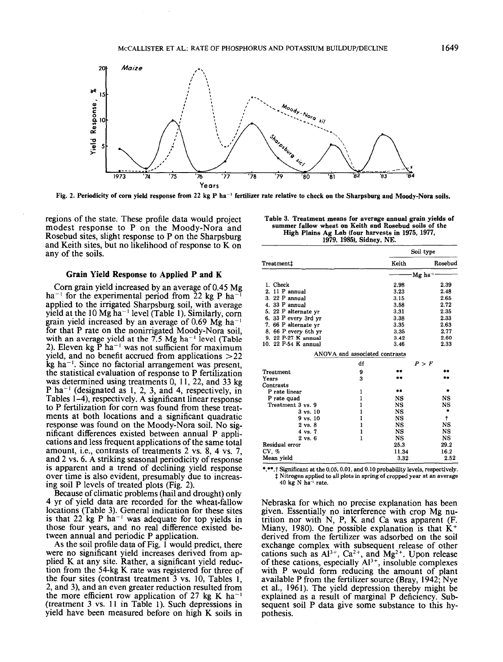

Fig. 2. Periodicity of corn yield response from 22 kg P ha<sup>-1</sup> fertilizer rate relative to check on the Sharpsburg and Moody-Nora soils.

regions of the state. These profile data would project modest response to P on the Moody-Nora and Rosebud sites, slight response to P on the Sharpsburg and Keith sites, but no likelihood of response to K on any of the soils.

# **Grain Yield Response to Applied P and K**

Corn grain yield increased by an average of 0.45 Mg ha<sup>-1</sup> for the experimental period from  $22 \text{ kg } P$  ha<sup>-1</sup> applied to the irrigated Sharpsburg soil, with average wield at the  $10 \text{ Mg} \text{ ha}^{-1}$  level (Table 1). Similarly, corn grain yield increased by an average of 0.69 Mg ha<sup>-1</sup> for that P rate on the nonirrigated Moody-Nora soil, with an average yield at the 7.5 Mg ha<sup>-1</sup> level (Table 2). Eleven kg  $\bar{P}$  ha<sup>-1</sup> was not sufficient for maximum yield, and no benefit accrued from applications  $>22$  $kg$  ha<sup> $-1$ </sup>. Since no factorial arrangement was present, the statistical evaluation of response to P fertilization was determined using treatments 0, 11, 22, and 33 kg P ha<sup> $-1$ </sup> (designated as 1, 2, 3, and 4, respectively, in Tables 1-4), respectively. A significant linear response to P fertilization for corn was found from these treatments at both locations and a significant quadratic response was found on the Moody-Nora soil. No significant differences existed between annual P applications and less frequent applications of the same total amount, i.e., contrasts of treatments 2 vs. 8, 4 vs. 7, and 2 vs. 6. A striking seasonal periodicity of response is apparent and a trend of declining yield response over time is also evident, presumably due to increasing soil P levels of treated plots (Fig. 2).

Because of climatic problems (hail and drought) only 4 yr of yield data are recorded for the wheat-fallow locations (Table 3). General indication for these sites is that  $22 \text{ kg} \cdot \text{Pa}^{-1}$  was adequate for top yields in those four years, and no real difference existed between annual and periodic P application.

As the soil profile data of Fig. 1 would predict, there were no significant yield increases derived from applied K at any site. Rather, a significant yield reduction from the 54-kg K rate was registered for three of the four sites (contrast treatment 3 vs. 10, Tables 1, 2, and 3), and an even greater reduction resulted from the more efficient row application of 27 kg K ha<sup>-1</sup> (treatment 3 vs. 11 in Table 1). Such depressions in yield have been measured before on high K soils in

| Table 3. Treatment means for average annual grain yields of |
|-------------------------------------------------------------|
| summer fallow wheat on Keith and Rosebud soils of the       |
| High Plains Ag Lab (four harvests in 1975, 1977,            |
| 1979, 1985). Sidney, NE.                                    |

|                      |                                |           | Soil type |  |  |  |
|----------------------|--------------------------------|-----------|-----------|--|--|--|
| Treatment‡           |                                | Keith     | Rosebud   |  |  |  |
|                      |                                |           | Mg ha '-  |  |  |  |
| 1. Check             |                                | 2.98      | 2.39      |  |  |  |
| 11 P annual<br>2.    |                                | 3.23      | 2.48      |  |  |  |
| 3. 22 P annual       |                                | 3.15      | 2.65      |  |  |  |
| 4.33 P annual        |                                | 3.58      | 2.72      |  |  |  |
| 5. 22 P alternate yr |                                | 3.31      | 2.35      |  |  |  |
| 6. 33 P every 3rd yr |                                | 3.38      | 2.33      |  |  |  |
| 7. 66 P alternate yr |                                | 3.35      | 2.63      |  |  |  |
| 8.66 P every 6th vr  |                                | 3.35      | 2.77      |  |  |  |
| 9. 22 P-27 K annual  |                                | 3.42      | 2.60      |  |  |  |
| 10. 22 P-54 K annual |                                | 3.46      | 2.33      |  |  |  |
|                      | ANOVA and associated contrasts |           |           |  |  |  |
|                      | df                             |           | P > F     |  |  |  |
| Treatment            | 9                              |           |           |  |  |  |
| Years                | 3                              |           |           |  |  |  |
| Contrasts            |                                |           |           |  |  |  |
| P rate linear        | 1                              | $\pm$     | ٠         |  |  |  |
| P rate quad          | $\mathbf{1}$                   | <b>NS</b> | NS        |  |  |  |
| Treatment 3 vs. 9    | 1                              | <b>NS</b> | NS        |  |  |  |
| $3 \text{ vs. } 10$  | 1                              | <b>NS</b> | ۰         |  |  |  |
| $9 \text{ vs. } 10$  | 1                              | NS        | t         |  |  |  |
| $2 \text{ vs. } 8$   | 1                              | <b>NS</b> | <b>NS</b> |  |  |  |
| $4 \text{ vs. } 7$   | 1                              | NS        | NS        |  |  |  |
| $2 \text{ vs. } 6$   | $\mathbf{1}$                   | <b>NS</b> | <b>NS</b> |  |  |  |
| Residual error       |                                | 25.3      | 29.2      |  |  |  |
| CV. %                |                                | 11.34     | 16.2      |  |  |  |
| Mean yield           |                                | 3.32      | 2.52      |  |  |  |

\*,\*\*, Significant at the 0.05, 0.01, and 0.10 probability levels, respectively. I Nitrogen applied to all plots in spring of cropped year at an average  $40$  kg N ha<sup>-1</sup> rate.

Nebraska for which no precise explanation has been given. Essentially no interference with crop Mg nutrition nor with N, P, K and Ca was apparent (F. Miany, 1980). One possible explanation is that  $K^+$ derived from the fertilizer was adsorbed on the soil exchange complex with subsequent release of other cations such as  $Al^{3+}$ ,  $Ca^{2+}$ , and  $Mg^{2+}$ . Upon release of these cations, especially  $AI^{3+}$ , insoluble complexes with P would form reducing the amount of plant available P from the fertilizer source (Bray, 1942; Nye et al., 1961). The yield depression thereby might be explained as a result of marginal P deficiency. Subsequent soil P data give some substance to this hypothesis.

1649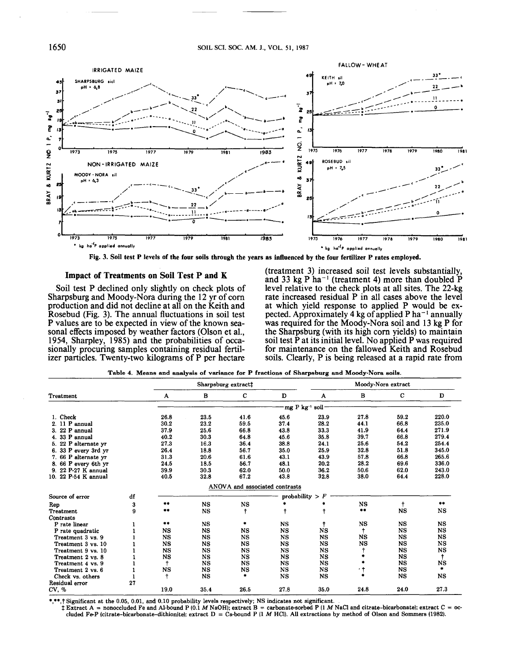

**Fig. 3. Soil test P levels of the four soils through the years as influenced by the four fertilizer P rates employed.**

#### **Impact of Treatments on Soil Test P and K**

Soil test P declined only slightly on check plots of Sharpsburg and Moody-Nora during the 12 yr of corn production and did not decline at all on the Keith and Rosebud (Fig. 3). The annual fluctuations in soil test P values are to be expected in view of the known seasonal effects imposed by weather factors (Olson et al., 1954, Sharpley, 1985) and the probabilities of occasionally procuring samples containing residual fertilizer particles. Twenty-two kilograms of P per hectare

(treatment 3) increased soil test levels substantially, and 33 kg P ha<sup> $-1$ </sup> (treatment 4) more than doubled  $\overline{P}$ level relative to the check plots at all sites. The 22-kg rate increased residual P in all cases above the level at which yield response to applied P would be expected. Approximately 4 kg of applied P ha $^{-1}$  annually was required for the Moody-Nora soil and 13 kg P for the Sharpsburg (with its high corn yields) to maintain soil test P at its initial level. No applied P was required for maintenance on the fallowed Keith and Rosebud soils. Clearly, P is being released at a rapid rate from

|                      |    | Sharpsburg extract‡ |             |                                |                       | Moody-Nora extract |           |             |           |
|----------------------|----|---------------------|-------------|--------------------------------|-----------------------|--------------------|-----------|-------------|-----------|
| Treatment            |    | A                   | в           | с                              | D                     | A                  | в         | с           | D         |
|                      |    |                     |             |                                | mg P kg <sup>-1</sup> | soil·              |           |             |           |
| 1. Check             |    | 26.8                | 23.5        | 41.6                           | 45.6                  | 23.9               | 27.8      | 59.2        | 220.0     |
| $2.11$ P annual      |    | 30.2                | 23.2        | 59.5                           | 37.4                  | 28.2               | 44.1      | 66.8        | 235.0     |
| 3. 22 P annual       |    | 37.9                | 25.6        | 66.8                           | 43.8                  | 33.3               | 41.9      | 64.4        | 271.9     |
| 4.33 P annual        |    | 40.2                | 30.3        | 64.8                           | 45.6                  | 35.8               | 39.7      | 66.8        | 279.4     |
| 5. 22 P alternate yr |    | 27.3                | 16.3        | 36.4                           | 38.8                  | 24.1               | 25.6      | 54.2        | 254.4     |
| 6. 33 P every 3rd yr |    | 26.4                | 18.8        | 56.7                           | 35.0                  | 25.9               | 32.8      | 51.8        | 345.0     |
| 7. 66 P alternate yr |    | 31.3                | 20.6        | 61.6                           | 43.1                  | 43.9               | 57.8      | 66.8        | 265.6     |
| 8. 66 P every 6th yr |    | 24.5                | 18.5        | 56.7                           | 48.1                  | 20.2               | 28.2      | 69.6        | 336.0     |
| 9. 22 P-27 K annual  |    | 39.9                | 30.3        | 62.0                           | 50.0                  | 36.2               | 50.6      | 62.0        | 243.0     |
| 10. 22 P-54 K annual |    | 40.5                | 32.8        | 67.2                           | 43.8                  | 32.8               | 38.0      | 64.4        | 228.0     |
|                      |    |                     |             | ANOVA and associated contrasts |                       |                    |           |             |           |
| Source of error      | df |                     |             |                                |                       | probability $> F$  |           |             |           |
| Rep                  | 3  | **                  | <b>NS</b>   | $_{\rm NS}$                    |                       |                    | NS        | ŧ           | $***$     |
| <b>Treatment</b>     | 9  | $\pm$ $\pm$         | NS          | ŧ                              |                       |                    | $***$     | <b>NS</b>   | <b>NS</b> |
| Contrasts            |    |                     |             |                                |                       |                    |           |             |           |
| P rate linear        |    | $***$               | <b>NS</b>   | ۰                              | <b>NS</b>             |                    | NS        | NS          | <b>NS</b> |
| P rate quadratic     |    | <b>NS</b>           | <b>NS</b>   | <b>NS</b>                      | $_{\rm NS}$           | $_{\rm NS}$        |           | $_{\rm NS}$ | <b>NS</b> |
| Treatment 3 vs. 9    |    | NS                  | <b>NS</b>   | <b>NS</b>                      | <b>NS</b>             | <b>NS</b>          | NS        | NS          | <b>NS</b> |
| Treatment 3 vs. 10   |    | <b>NS</b>           | <b>NS</b>   | <b>NS</b>                      | <b>NS</b>             | <b>NS</b>          | <b>NS</b> | NS          | <b>NS</b> |
| Treatment 9 vs. 10   |    | <b>NS</b>           | NS          | <b>NS</b>                      | <b>NS</b>             | NS                 |           | <b>NS</b>   | <b>NS</b> |
| Treatment 2 vs. 8    |    | <b>NS</b>           | $_{\rm NS}$ | $_{\rm NS}$                    | <b>NS</b>             | NS                 |           | NS          | ÷         |
| Treatment 4 vs. 9    |    | $\ddagger$          | NS          | <b>NS</b>                      | NS                    | <b>NS</b>          |           | <b>NS</b>   | <b>NS</b> |
| Treatment 2 vs. 6    |    | NS                  | NS          | NS                             | NS                    | $_{\rm NS}$        | ۰,        | $_{\rm NS}$ | ۰.        |
| Check vs. others     |    | ŧ                   | <b>NS</b>   |                                | $_{\rm NS}$           | <b>NS</b>          | sh.       | $_{\rm NS}$ | <b>NS</b> |
| Residual error       | 27 |                     |             |                                |                       |                    |           |             |           |
| CV, %                |    | 19.0                | 35.4        | 26.5                           | 27.8                  | 35.0               | 24.8      | 24.0        | 27.3      |

\*,\*\*,T Significant at the 0.05, 0.01, and 0.10 probability levels respectively; NS indicates not significant.

j Extract A = nonoccluded Fe and Al-bound P (0.1 *M* NaOH); extract B = carbonate-sorbed P (1 M NaCl and citrate-bicarbonate); extract C = occluded Fe-P (citrate-bicarbonate-dithionite); extract  $D = Ca$ -bound P (1 M HCl). All extractions by method of Olson and Sommers (1982).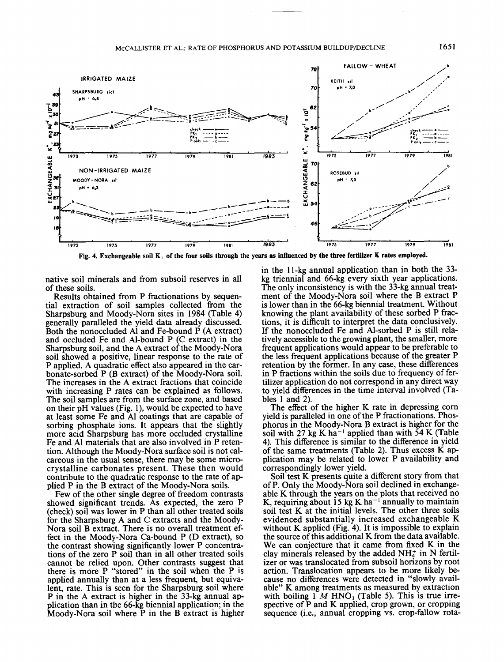

**Fig. 4. Exchangeable soil K+ of the four soils through the years as influenced by the three fertilizer K rates employed.**

native soil minerals and from subsoil reserves in all of these soils.

Results obtained from P fractionations by sequential extraction of soil samples collected from the Sharpsburg and Moody-Nora sites in 1984 (Table 4) generally paralleled the yield data already discussed. Both the nonoccluded Al and Fe-bound P (A extract) and occluded Fe and Al-bound P (C extract) in the Sharpsburg soil, and the A extract of the Moody-Nora soil showed a positive, linear response to the rate of P applied. A quadratic effect also appeared in the carbonate-sorbed P (B extract) of the Moody-Nora soil. The increases in the A extract fractions that coincide with increasing P rates can be explained as follows. The soil samples are from the surface zone, and based on their pH values (Fig. 1), would be expected to have at least some Fe and Al coatings that are capable of sorbing phosphate ions. It appears that the slightly more acid Sharpsburg has more occluded crystalline Fe and Al materials that are also involved in P retention. Although the Moody-Nora surface soil is not calcareous in the usual sense, there may be some microcrystalline carbonates present. These then would contribute to the quadratic response to the rate of applied P in the B extract of the Moody-Nora soils.

Few of the other single degree of freedom contrasts showed significant trends. As expected, the zero P (check) soil was lower in P than all other treated soils for the Sharpsburg A and C extracts and the Moody-Nora soil B extract. There is no overall treatment effect in the Moody-Nora Ca-bound P (D extract), so the contrast showing significantly lower P concentrations of the zero P soil than in all other treated soils cannot be relied upon. Other contrasts suggest that there is more P "stored" in the soil when the P is applied annually than at a less frequent, but equivalent, rate. This is seen for the Sharpsburg soil where P in the A extract is higher in the 33-kg annual application than in the 66-kg biennial application; in the Moody-Nora soil where P in the B extract is higher

in the 11-kg annual application than in both the 33 kg triennial and 66-kg every sixth year applications. The only inconsistency is with the 33-kg annual treatment of the Moody-Nora soil where the B extract P is lower than in the 66-kg biennial treatment. Without knowing the plant availability of these sorbed P fractions, it is difficult to interpret the data conclusively. If the nonoccluded Fe and Al-sorbed P is still relatively accessible to the growing plant, the smaller, more frequent applications would appear to be preferable to the less frequent applications because of the greater P retention by the former. In any case, these differences in P fractions within the soils due to frequency of fertilizer application do not correspond in any direct way to yield differences in the time interval involved (Tables 1 and *2).*

The effect of the higher K rate in depressing corn yield is paralleled in one of the P fractionations. Phosphorus in the Moody-Nora B extract is higher for the soil with *21* kg K ha~' applied than with 54 K (Table 4). This difference is similar to the difference in yield of the same treatments (Table *2).* Thus excess K application may be related to lower P availability and correspondingly lower yield.

Soil test K presents quite a different story from that of P. Only the Moody-Nora soil declined in exchangeable K through the years on the plots that received no K, requiring about 15 kg K ha<sup> $-1$ </sup> annually to maintain soil test K at the initial levels. The other three soils evidenced substantially increased exchangeable K without K applied (Fig. 4). It is impossible to explain the source of this additional K from the data available. We can conjecture that it came from fixed K in the clay minerals released by the added  $NH<sub>4</sub><sup>+</sup>$  in N fertilizer or was translocated from subsoil horizons by root action. Translocation appears to be more likely because no differences were detected in "slowly available" K among treatments as measured by extraction with boiling  $1 M HNO<sub>3</sub>$  (Table 5). This is true irrespective of P and K applied, crop grown, or cropping sequence (i.e., annual cropping vs. crop-fallow rota-